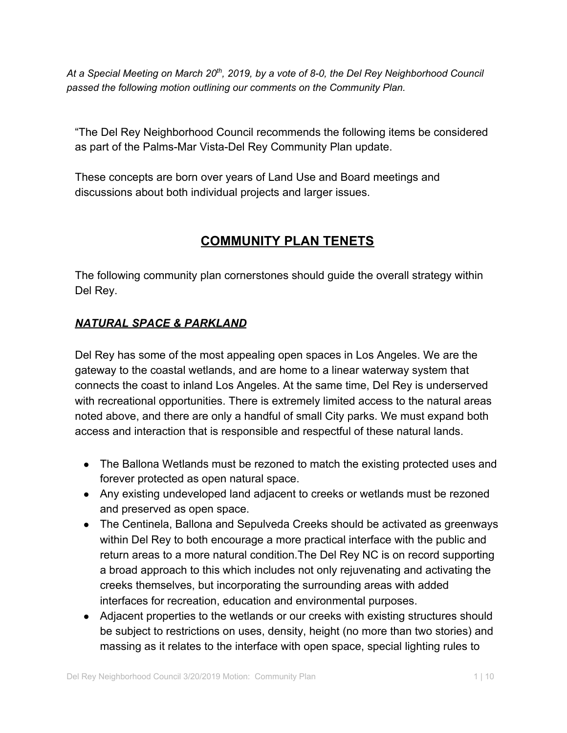At a Special Meeting on March 20<sup>th</sup>, 2019, by a vote of 8-0, the Del Rey Neighborhood Council *passed the following motion outlining our comments on the Community Plan.*

"The Del Rey Neighborhood Council recommends the following items be considered as part of the Palms-Mar Vista-Del Rey Community Plan update.

These concepts are born over years of Land Use and Board meetings and discussions about both individual projects and larger issues.

# **COMMUNITY PLAN TENETS**

The following community plan cornerstones should guide the overall strategy within Del Rey.

## *NATURAL SPACE & PARKLAND*

Del Rey has some of the most appealing open spaces in Los Angeles. We are the gateway to the coastal wetlands, and are home to a linear waterway system that connects the coast to inland Los Angeles. At the same time, Del Rey is underserved with recreational opportunities. There is extremely limited access to the natural areas noted above, and there are only a handful of small City parks. We must expand both access and interaction that is responsible and respectful of these natural lands.

- The Ballona Wetlands must be rezoned to match the existing protected uses and forever protected as open natural space.
- Any existing undeveloped land adjacent to creeks or wetlands must be rezoned and preserved as open space.
- The Centinela, Ballona and Sepulveda Creeks should be activated as greenways within Del Rey to both encourage a more practical interface with the public and return areas to a more natural condition.The Del Rey NC is on record supporting a broad approach to this which includes not only rejuvenating and activating the creeks themselves, but incorporating the surrounding areas with added interfaces for recreation, education and environmental purposes.
- Adjacent properties to the wetlands or our creeks with existing structures should be subject to restrictions on uses, density, height (no more than two stories) and massing as it relates to the interface with open space, special lighting rules to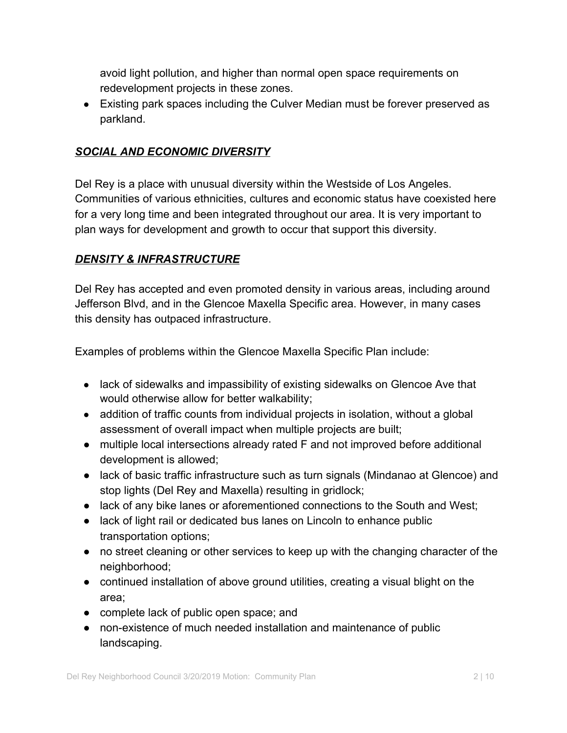avoid light pollution, and higher than normal open space requirements on redevelopment projects in these zones.

● Existing park spaces including the Culver Median must be forever preserved as parkland.

## *SOCIAL AND ECONOMIC DIVERSITY*

Del Rey is a place with unusual diversity within the Westside of Los Angeles. Communities of various ethnicities, cultures and economic status have coexisted here for a very long time and been integrated throughout our area. It is very important to plan ways for development and growth to occur that support this diversity.

## *DENSITY & INFRASTRUCTURE*

Del Rey has accepted and even promoted density in various areas, including around Jefferson Blvd, and in the Glencoe Maxella Specific area. However, in many cases this density has outpaced infrastructure.

Examples of problems within the Glencoe Maxella Specific Plan include:

- lack of sidewalks and impassibility of existing sidewalks on Glencoe Ave that would otherwise allow for better walkability;
- addition of traffic counts from individual projects in isolation, without a global assessment of overall impact when multiple projects are built;
- multiple local intersections already rated F and not improved before additional development is allowed;
- lack of basic traffic infrastructure such as turn signals (Mindanao at Glencoe) and stop lights (Del Rey and Maxella) resulting in gridlock;
- lack of any bike lanes or aforementioned connections to the South and West;
- lack of light rail or dedicated bus lanes on Lincoln to enhance public transportation options;
- no street cleaning or other services to keep up with the changing character of the neighborhood;
- continued installation of above ground utilities, creating a visual blight on the area;
- complete lack of public open space; and
- non-existence of much needed installation and maintenance of public landscaping.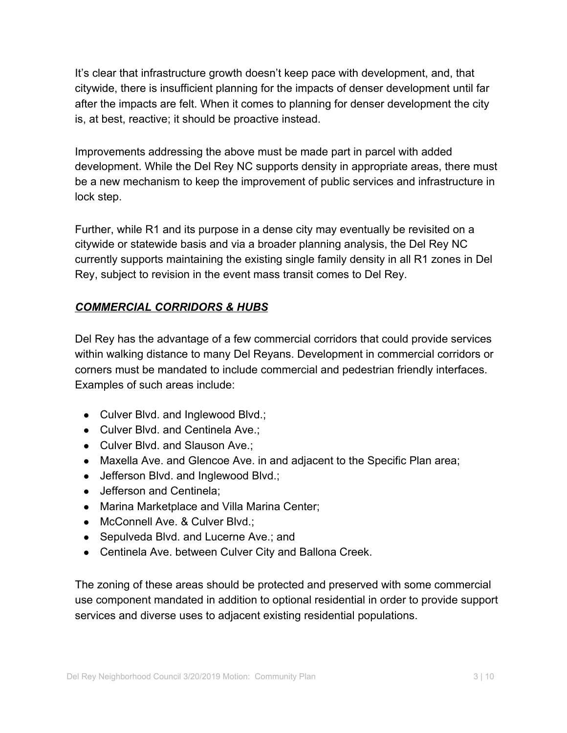It's clear that infrastructure growth doesn't keep pace with development, and, that citywide, there is insufficient planning for the impacts of denser development until far after the impacts are felt. When it comes to planning for denser development the city is, at best, reactive; it should be proactive instead.

Improvements addressing the above must be made part in parcel with added development. While the Del Rey NC supports density in appropriate areas, there must be a new mechanism to keep the improvement of public services and infrastructure in lock step.

Further, while R1 and its purpose in a dense city may eventually be revisited on a citywide or statewide basis and via a broader planning analysis, the Del Rey NC currently supports maintaining the existing single family density in all R1 zones in Del Rey, subject to revision in the event mass transit comes to Del Rey.

### *COMMERCIAL CORRIDORS & HUBS*

Del Rey has the advantage of a few commercial corridors that could provide services within walking distance to many Del Reyans. Development in commercial corridors or corners must be mandated to include commercial and pedestrian friendly interfaces. Examples of such areas include:

- Culver Blvd. and Inglewood Blvd.;
- Culver Blvd. and Centinela Ave.;
- Culver Blvd. and Slauson Ave.;
- Maxella Ave. and Glencoe Ave. in and adjacent to the Specific Plan area;
- Jefferson Blvd. and Inglewood Blvd.;
- Jefferson and Centinela:
- Marina Marketplace and Villa Marina Center;
- McConnell Ave. & Culver Blvd.;
- Sepulveda Blvd. and Lucerne Ave.; and
- Centinela Ave. between Culver City and Ballona Creek.

The zoning of these areas should be protected and preserved with some commercial use component mandated in addition to optional residential in order to provide support services and diverse uses to adjacent existing residential populations.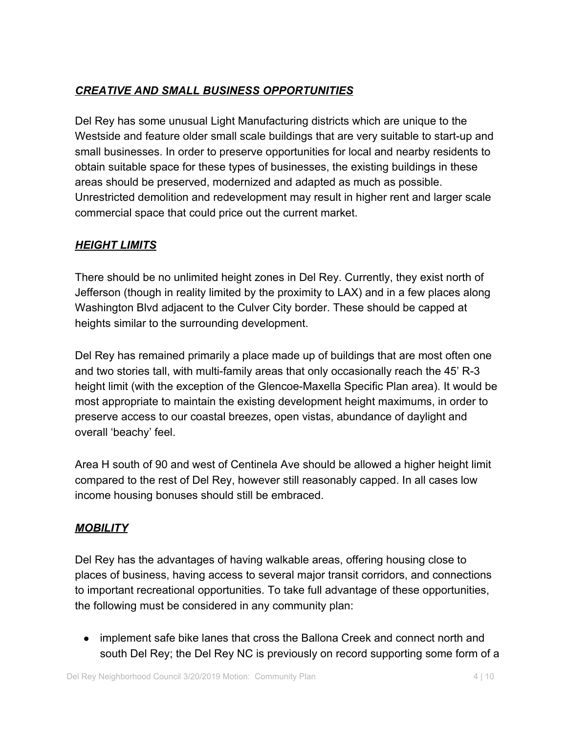## *CREATIVE AND SMALL BUSINESS OPPORTUNITIES*

Del Rey has some unusual Light Manufacturing districts which are unique to the Westside and feature older small scale buildings that are very suitable to start-up and small businesses. In order to preserve opportunities for local and nearby residents to obtain suitable space for these types of businesses, the existing buildings in these areas should be preserved, modernized and adapted as much as possible. Unrestricted demolition and redevelopment may result in higher rent and larger scale commercial space that could price out the current market.

#### *HEIGHT LIMITS*

There should be no unlimited height zones in Del Rey. Currently, they exist north of Jefferson (though in reality limited by the proximity to LAX) and in a few places along Washington Blvd adjacent to the Culver City border. These should be capped at heights similar to the surrounding development.

Del Rey has remained primarily a place made up of buildings that are most often one and two stories tall, with multi-family areas that only occasionally reach the 45' R-3 height limit (with the exception of the Glencoe-Maxella Specific Plan area). It would be most appropriate to maintain the existing development height maximums, in order to preserve access to our coastal breezes, open vistas, abundance of daylight and overall 'beachy' feel.

Area H south of 90 and west of Centinela Ave should be allowed a higher height limit compared to the rest of Del Rey, however still reasonably capped. In all cases low income housing bonuses should still be embraced.

### *MOBILITY*

Del Rey has the advantages of having walkable areas, offering housing close to places of business, having access to several major transit corridors, and connections to important recreational opportunities. To take full advantage of these opportunities, the following must be considered in any community plan:

• implement safe bike lanes that cross the Ballona Creek and connect north and south Del Rey; the Del Rey NC is previously on record supporting some form of a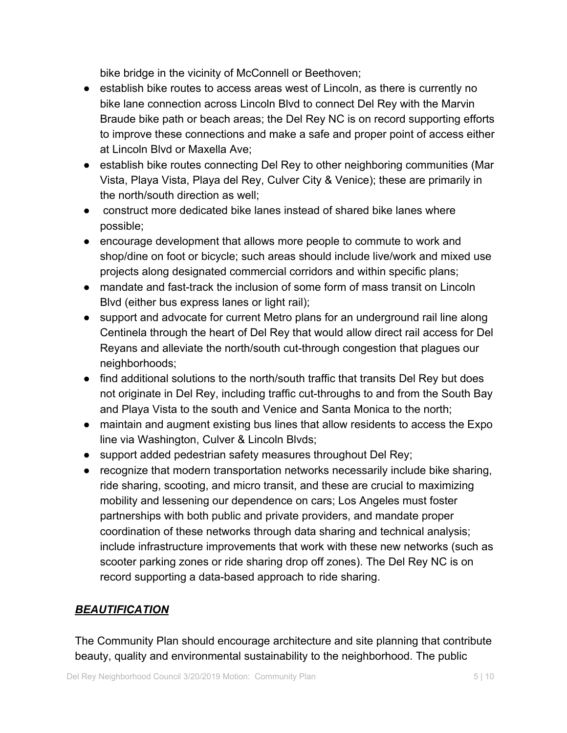bike bridge in the vicinity of McConnell or Beethoven;

- establish bike routes to access areas west of Lincoln, as there is currently no bike lane connection across Lincoln Blvd to connect Del Rey with the Marvin Braude bike path or beach areas; the Del Rey NC is on record supporting efforts to improve these connections and make a safe and proper point of access either at Lincoln Blvd or Maxella Ave;
- establish bike routes connecting Del Rey to other neighboring communities (Mar Vista, Playa Vista, Playa del Rey, Culver City & Venice); these are primarily in the north/south direction as well;
- construct more dedicated bike lanes instead of shared bike lanes where possible;
- encourage development that allows more people to commute to work and shop/dine on foot or bicycle; such areas should include live/work and mixed use projects along designated commercial corridors and within specific plans;
- mandate and fast-track the inclusion of some form of mass transit on Lincoln Blvd (either bus express lanes or light rail);
- support and advocate for current Metro plans for an underground rail line along Centinela through the heart of Del Rey that would allow direct rail access for Del Reyans and alleviate the north/south cut-through congestion that plagues our neighborhoods;
- find additional solutions to the north/south traffic that transits Del Rey but does not originate in Del Rey, including traffic cut-throughs to and from the South Bay and Playa Vista to the south and Venice and Santa Monica to the north;
- maintain and augment existing bus lines that allow residents to access the Expo line via Washington, Culver & Lincoln Blvds;
- support added pedestrian safety measures throughout Del Rey;
- recognize that modern transportation networks necessarily include bike sharing, ride sharing, scooting, and micro transit, and these are crucial to maximizing mobility and lessening our dependence on cars; Los Angeles must foster partnerships with both public and private providers, and mandate proper coordination of these networks through data sharing and technical analysis; include infrastructure improvements that work with these new networks (such as scooter parking zones or ride sharing drop off zones). The Del Rey NC is on record supporting a data-based approach to ride sharing.

### *BEAUTIFICATION*

The Community Plan should encourage architecture and site planning that contribute beauty, quality and environmental sustainability to the neighborhood. The public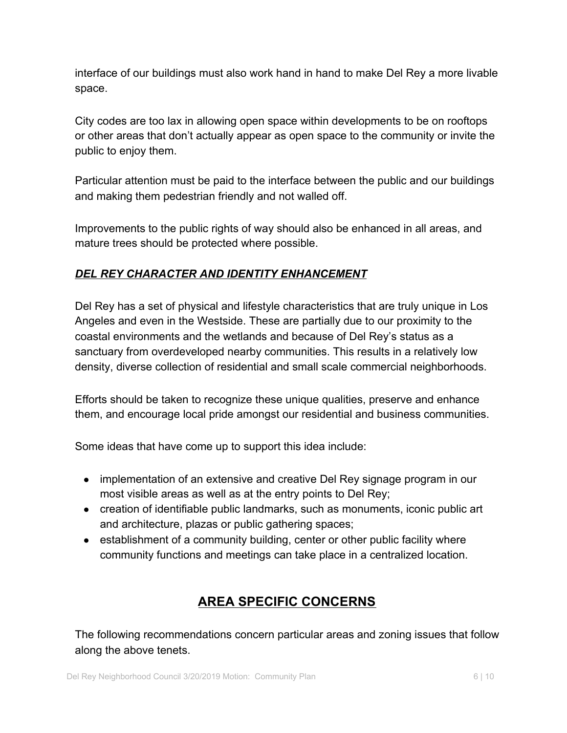interface of our buildings must also work hand in hand to make Del Rey a more livable space.

City codes are too lax in allowing open space within developments to be on rooftops or other areas that don't actually appear as open space to the community or invite the public to enjoy them.

Particular attention must be paid to the interface between the public and our buildings and making them pedestrian friendly and not walled off.

Improvements to the public rights of way should also be enhanced in all areas, and mature trees should be protected where possible.

## *DEL REY CHARACTER AND IDENTITY ENHANCEMENT*

Del Rey has a set of physical and lifestyle characteristics that are truly unique in Los Angeles and even in the Westside. These are partially due to our proximity to the coastal environments and the wetlands and because of Del Rey's status as a sanctuary from overdeveloped nearby communities. This results in a relatively low density, diverse collection of residential and small scale commercial neighborhoods.

Efforts should be taken to recognize these unique qualities, preserve and enhance them, and encourage local pride amongst our residential and business communities.

Some ideas that have come up to support this idea include:

- implementation of an extensive and creative Del Rey signage program in our most visible areas as well as at the entry points to Del Rey;
- creation of identifiable public landmarks, such as monuments, iconic public art and architecture, plazas or public gathering spaces;
- establishment of a community building, center or other public facility where community functions and meetings can take place in a centralized location.

# **AREA SPECIFIC CONCERNS**

The following recommendations concern particular areas and zoning issues that follow along the above tenets.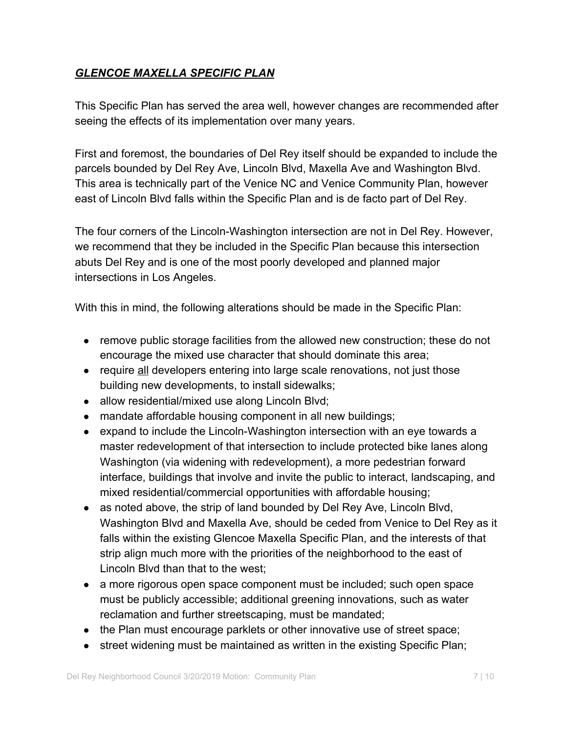### *GLENCOE MAXELLA SPECIFIC PLAN*

This Specific Plan has served the area well, however changes are recommended after seeing the effects of its implementation over many years.

First and foremost, the boundaries of Del Rey itself should be expanded to include the parcels bounded by Del Rey Ave, Lincoln Blvd, Maxella Ave and Washington Blvd. This area is technically part of the Venice NC and Venice Community Plan, however east of Lincoln Blvd falls within the Specific Plan and is de facto part of Del Rey.

The four corners of the Lincoln-Washington intersection are not in Del Rey. However, we recommend that they be included in the Specific Plan because this intersection abuts Del Rey and is one of the most poorly developed and planned major intersections in Los Angeles.

With this in mind, the following alterations should be made in the Specific Plan:

- remove public storage facilities from the allowed new construction; these do not encourage the mixed use character that should dominate this area;
- require all developers entering into large scale renovations, not just those building new developments, to install sidewalks;
- allow residential/mixed use along Lincoln Blvd;
- mandate affordable housing component in all new buildings;
- expand to include the Lincoln-Washington intersection with an eye towards a master redevelopment of that intersection to include protected bike lanes along Washington (via widening with redevelopment), a more pedestrian forward interface, buildings that involve and invite the public to interact, landscaping, and mixed residential/commercial opportunities with affordable housing;
- as noted above, the strip of land bounded by Del Rey Ave, Lincoln Blvd, Washington Blvd and Maxella Ave, should be ceded from Venice to Del Rey as it falls within the existing Glencoe Maxella Specific Plan, and the interests of that strip align much more with the priorities of the neighborhood to the east of Lincoln Blvd than that to the west;
- a more rigorous open space component must be included; such open space must be publicly accessible; additional greening innovations, such as water reclamation and further streetscaping, must be mandated;
- the Plan must encourage parklets or other innovative use of street space;
- street widening must be maintained as written in the existing Specific Plan;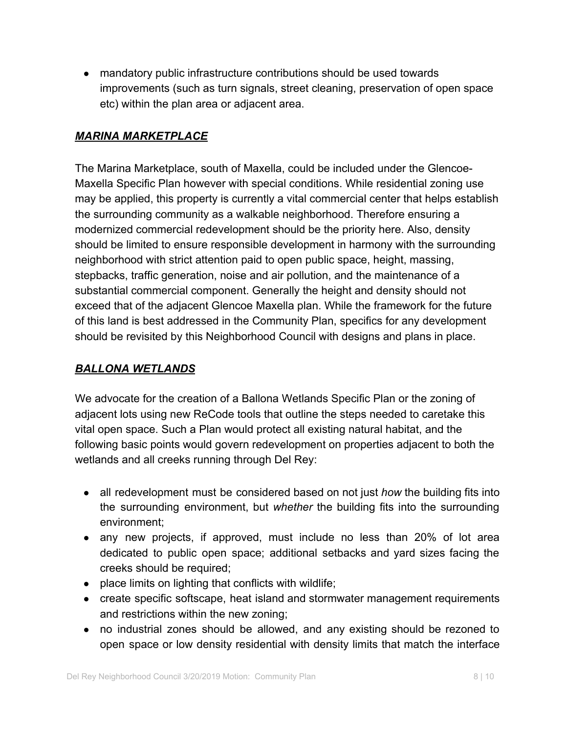• mandatory public infrastructure contributions should be used towards improvements (such as turn signals, street cleaning, preservation of open space etc) within the plan area or adjacent area.

### *MARINA MARKETPLACE*

The Marina Marketplace, south of Maxella, could be included under the Glencoe-Maxella Specific Plan however with special conditions. While residential zoning use may be applied, this property is currently a vital commercial center that helps establish the surrounding community as a walkable neighborhood. Therefore ensuring a modernized commercial redevelopment should be the priority here. Also, density should be limited to ensure responsible development in harmony with the surrounding neighborhood with strict attention paid to open public space, height, massing, stepbacks, traffic generation, noise and air pollution, and the maintenance of a substantial commercial component. Generally the height and density should not exceed that of the adjacent Glencoe Maxella plan. While the framework for the future of this land is best addressed in the Community Plan, specifics for any development should be revisited by this Neighborhood Council with designs and plans in place.

### *BALLONA WETLANDS*

We advocate for the creation of a Ballona Wetlands Specific Plan or the zoning of adjacent lots using new ReCode tools that outline the steps needed to caretake this vital open space. Such a Plan would protect all existing natural habitat, and the following basic points would govern redevelopment on properties adjacent to both the wetlands and all creeks running through Del Rey:

- all redevelopment must be considered based on not just *how* the building fits into the surrounding environment, but *whether* the building fits into the surrounding environment;
- any new projects, if approved, must include no less than 20% of lot area dedicated to public open space; additional setbacks and yard sizes facing the creeks should be required;
- place limits on lighting that conflicts with wildlife;
- create specific softscape, heat island and stormwater management requirements and restrictions within the new zoning;
- no industrial zones should be allowed, and any existing should be rezoned to open space or low density residential with density limits that match the interface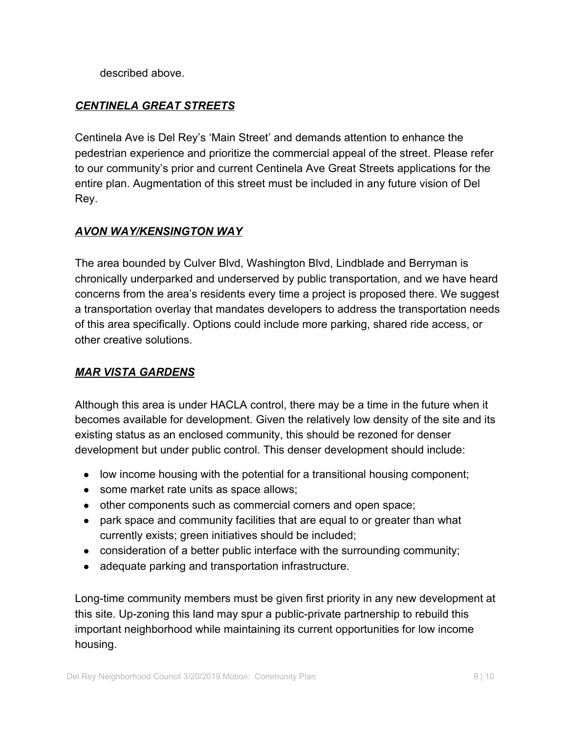described above.

## *CENTINELA GREAT STREETS*

Centinela Ave is Del Rey's 'Main Street' and demands attention to enhance the pedestrian experience and prioritize the commercial appeal of the street. Please refer to our community's prior and current Centinela Ave Great Streets applications for the entire plan. Augmentation of this street must be included in any future vision of Del Rey.

#### *AVON WAY/KENSINGTON WAY*

The area bounded by Culver Blvd, Washington Blvd, Lindblade and Berryman is chronically underparked and underserved by public transportation, and we have heard concerns from the area's residents every time a project is proposed there. We suggest a transportation overlay that mandates developers to address the transportation needs of this area specifically. Options could include more parking, shared ride access, or other creative solutions.

### *MAR VISTA GARDENS*

Although this area is under HACLA control, there may be a time in the future when it becomes available for development. Given the relatively low density of the site and its existing status as an enclosed community, this should be rezoned for denser development but under public control. This denser development should include:

- low income housing with the potential for a transitional housing component;
- some market rate units as space allows;
- other components such as commercial corners and open space;
- park space and community facilities that are equal to or greater than what currently exists; green initiatives should be included;
- $\bullet$  consideration of a better public interface with the surrounding community;
- adequate parking and transportation infrastructure.

Long-time community members must be given first priority in any new development at this site. Up-zoning this land may spur a public-private partnership to rebuild this important neighborhood while maintaining its current opportunities for low income housing.